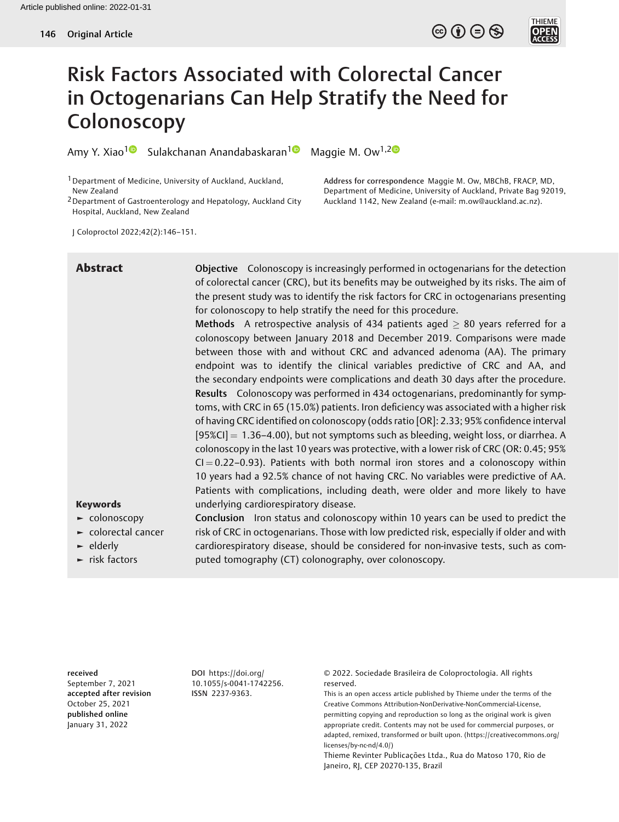

# Risk Factors Associated with Colorectal Cancer in Octogenarians Can Help Stratify the Need for **Colonoscopy**

Amy Y. Xiao<sup>1 ®</sup> Sulakchanan Anandabaskaran<sup>1 ®</sup> Maggie M. Ow<sup>1,2 ®</sup>

1Department of Medicine, University of Auckland, Auckland, New Zealand

2Department of Gastroenterology and Hepatology, Auckland City Hospital, Auckland, New Zealand

Address for correspondence Maggie M. Ow, MBChB, FRACP, MD, Department of Medicine, University of Auckland, Private Bag 92019, Auckland 1142, New Zealand (e-mail: [m.ow@auckland.ac.nz\)](mailto:m.ow@auckland.ac.nz).

J Coloproctol 2022;42(2):146–151.

Abstract Objective Colonoscopy is increasingly performed in octogenarians for the detection of colorectal cancer (CRC), but its benefits may be outweighed by its risks. The aim of the present study was to identify the risk factors for CRC in octogenarians presenting for colonoscopy to help stratify the need for this procedure.

> Methods A retrospective analysis of 434 patients aged  $\geq$  80 years referred for a colonoscopy between January 2018 and December 2019. Comparisons were made between those with and without CRC and advanced adenoma (AA). The primary endpoint was to identify the clinical variables predictive of CRC and AA, and the secondary endpoints were complications and death 30 days after the procedure. Results Colonoscopy was performed in 434 octogenarians, predominantly for symptoms, with CRC in 65 (15.0%) patients. Iron deficiency was associated with a higher risk of having CRC identified on colonoscopy (odds ratio [OR]: 2.33; 95% confidence interval  $[95\%$ CI] = 1.36–4.00), but not symptoms such as bleeding, weight loss, or diarrhea. A colonoscopy in the last 10 years was protective, with a lower risk of CRC (OR: 0.45; 95%  $Cl = 0.22-0.93$ ). Patients with both normal iron stores and a colonoscopy within 10 years had a 92.5% chance of not having CRC. No variables were predictive of AA. Patients with complications, including death, were older and more likely to have underlying cardiorespiratory disease.

# Keywords

- ► colonoscopy
- ► colorectal cancer
- ► elderly
- ► risk factors

Conclusion Iron status and colonoscopy within 10 years can be used to predict the risk of CRC in octogenarians. Those with low predicted risk, especially if older and with cardiorespiratory disease, should be considered for non-invasive tests, such as computed tomography (CT) colonography, over colonoscopy.

received September 7, 2021 accepted after revision October 25, 2021 published online January 31, 2022

DOI [https://doi.org/](https://doi.org/10.1055/s-0041-1742256) [10.1055/s-0041-1742256](https://doi.org/10.1055/s-0041-1742256). ISSN 2237-9363.

© 2022. Sociedade Brasileira de Coloproctologia. All rights reserved.

This is an open access article published by Thieme under the terms of the Creative Commons Attribution-NonDerivative-NonCommercial-License, permitting copying and reproduction so long as the original work is given appropriate credit. Contents may not be used for commercial purposes, or adapted, remixed, transformed or built upon. (https://creativecommons.org/ licenses/by-nc-nd/4.0/)

Thieme Revinter Publicações Ltda., Rua do Matoso 170, Rio de Janeiro, RJ, CEP 20270-135, Brazil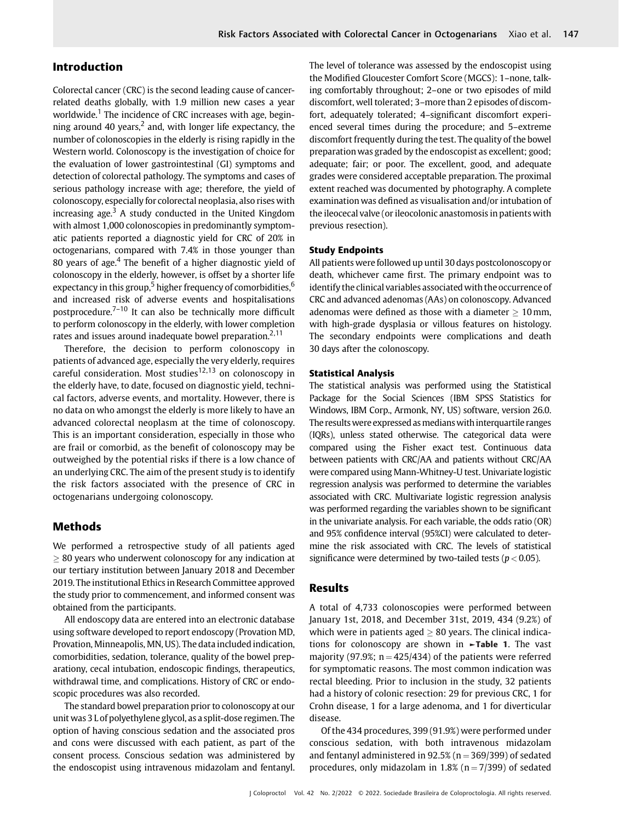# Introduction

Colorectal cancer (CRC) is the second leading cause of cancerrelated deaths globally, with 1.9 million new cases a year worldwide.<sup>1</sup> The incidence of CRC increases with age, beginning around 40 years, $<sup>2</sup>$  and, with longer life expectancy, the</sup> number of colonoscopies in the elderly is rising rapidly in the Western world. Colonoscopy is the investigation of choice for the evaluation of lower gastrointestinal (GI) symptoms and detection of colorectal pathology. The symptoms and cases of serious pathology increase with age; therefore, the yield of colonoscopy, especially for colorectal neoplasia, also rises with increasing age. $3$  A study conducted in the United Kingdom with almost 1,000 colonoscopies in predominantly symptomatic patients reported a diagnostic yield for CRC of 20% in octogenarians, compared with 7.4% in those younger than 80 years of age. $4$  The benefit of a higher diagnostic yield of colonoscopy in the elderly, however, is offset by a shorter life expectancy in this group,<sup>5</sup> higher frequency of comorbidities,<sup>6</sup> and increased risk of adverse events and hospitalisations postprocedure. $7-10$  It can also be technically more difficult to perform colonoscopy in the elderly, with lower completion rates and issues around inadequate bowel preparation.<sup>2,11</sup>

Therefore, the decision to perform colonoscopy in patients of advanced age, especially the very elderly, requires careful consideration. Most studies<sup>12,13</sup> on colonoscopy in the elderly have, to date, focused on diagnostic yield, technical factors, adverse events, and mortality. However, there is no data on who amongst the elderly is more likely to have an advanced colorectal neoplasm at the time of colonoscopy. This is an important consideration, especially in those who are frail or comorbid, as the benefit of colonoscopy may be outweighed by the potential risks if there is a low chance of an underlying CRC. The aim of the present study is to identify the risk factors associated with the presence of CRC in octogenarians undergoing colonoscopy.

# Methods

We performed a retrospective study of all patients aged  $\geq$  80 years who underwent colonoscopy for any indication at our tertiary institution between January 2018 and December 2019. The institutional Ethics in Research Committee approved the study prior to commencement, and informed consent was obtained from the participants.

All endoscopy data are entered into an electronic database using software developed to report endoscopy (Provation MD, Provation, Minneapolis, MN, US). The data included indication, comorbidities, sedation, tolerance, quality of the bowel preparationy, cecal intubation, endoscopic findings, therapeutics, withdrawal time, and complications. History of CRC or endoscopic procedures was also recorded.

The standard bowel preparation prior to colonoscopy at our unit was 3 L of polyethylene glycol, as a split-dose regimen. The option of having conscious sedation and the associated pros and cons were discussed with each patient, as part of the consent process. Conscious sedation was administered by the endoscopist using intravenous midazolam and fentanyl. The level of tolerance was assessed by the endoscopist using the Modified Gloucester Comfort Score (MGCS): 1–none, talking comfortably throughout; 2–one or two episodes of mild discomfort, well tolerated; 3–more than 2 episodes of discomfort, adequately tolerated; 4–significant discomfort experienced several times during the procedure; and 5–extreme discomfort frequently during the test. The quality of the bowel preparation was graded by the endoscopist as excellent; good; adequate; fair; or poor. The excellent, good, and adequate grades were considered acceptable preparation. The proximal extent reached was documented by photography. A complete examination was defined as visualisation and/or intubation of the ileocecal valve (or ileocolonic anastomosis in patients with previous resection).

### Study Endpoints

All patients were followed up until 30 days postcolonoscopy or death, whichever came first. The primary endpoint was to identify the clinical variables associated with the occurrence of CRC and advanced adenomas (AAs) on colonoscopy. Advanced adenomas were defined as those with a diameter  $\geq 10$  mm, with high-grade dysplasia or villous features on histology. The secondary endpoints were complications and death 30 days after the colonoscopy.

#### Statistical Analysis

The statistical analysis was performed using the Statistical Package for the Social Sciences (IBM SPSS Statistics for Windows, IBM Corp., Armonk, NY, US) software, version 26.0. The results were expressed as medians with interquartile ranges (IQRs), unless stated otherwise. The categorical data were compared using the Fisher exact test. Continuous data between patients with CRC/AA and patients without CRC/AA were compared using Mann-Whitney-U test. Univariate logistic regression analysis was performed to determine the variables associated with CRC. Multivariate logistic regression analysis was performed regarding the variables shown to be significant in the univariate analysis. For each variable, the odds ratio (OR) and 95% confidence interval (95%CI) were calculated to determine the risk associated with CRC. The levels of statistical significance were determined by two-tailed tests ( $p < 0.05$ ).

# Results

A total of 4,733 colonoscopies were performed between January 1st, 2018, and December 31st, 2019, 434 (9.2%) of which were in patients aged  $\geq 80$  years. The clinical indications for colonoscopy are shown in  $\blacktriangleright$ Table 1. The vast majority (97.9%;  $n = 425/434$ ) of the patients were referred for symptomatic reasons. The most common indication was rectal bleeding. Prior to inclusion in the study, 32 patients had a history of colonic resection: 29 for previous CRC, 1 for Crohn disease, 1 for a large adenoma, and 1 for diverticular disease.

Of the 434 procedures, 399 (91.9%) were performed under conscious sedation, with both intravenous midazolam and fentanyl administered in  $92.5\%$  (n = 369/399) of sedated procedures, only midazolam in  $1.8\%$  (n = 7/399) of sedated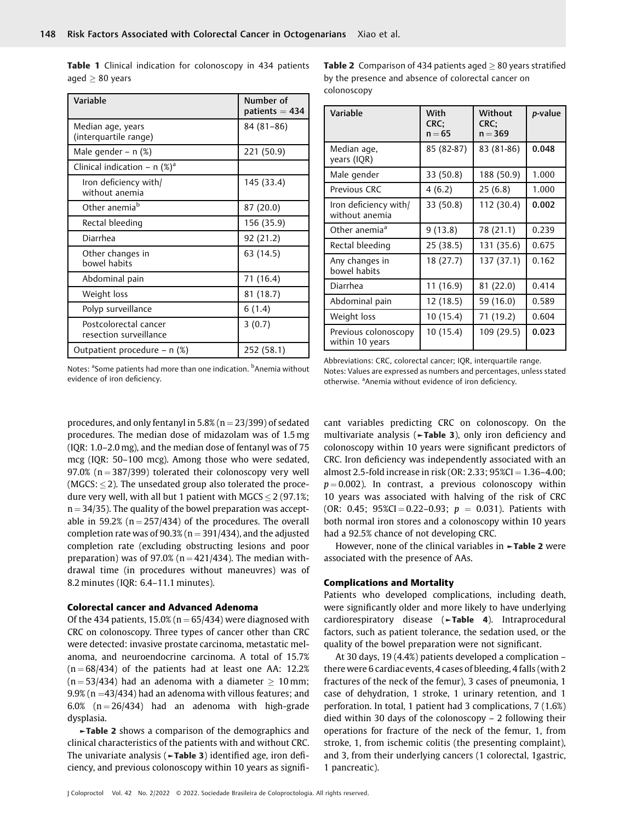| Variable                                        | Number of<br>patients $= 434$ |
|-------------------------------------------------|-------------------------------|
| Median age, years<br>(interquartile range)      | $84(81-86)$                   |
| Male gender - $n$ (%)                           | 221 (50.9)                    |
| Clinical indication - n $(\%)^a$                |                               |
| Iron deficiency with/<br>without anemia         | 145 (33.4)                    |
| Other anemia <sup>b</sup>                       | 87 (20.0)                     |
| Rectal bleeding                                 | 156 (35.9)                    |
| Diarrhea                                        | 92 (21.2)                     |
| Other changes in<br>bowel habits                | 63 (14.5)                     |
| Abdominal pain                                  | 71 (16.4)                     |
| Weight loss                                     | 81 (18.7)                     |
| Polyp surveillance                              | 6(1.4)                        |
| Postcolorectal cancer<br>resection surveillance | 3(0.7)                        |
| Outpatient procedure – n (%)                    | 252 (58.1)                    |

Table 1 Clinical indication for colonoscopy in 434 patients aged  $> 80$  years

**Table 2** Comparison of 434 patients aged  $> 80$  years stratified by the presence and absence of colorectal cancer on colonoscopy

| Variable                                | With<br>CRC:<br>$n = 65$ | Without<br>CRC:<br>$n = 369$ | p-value |
|-----------------------------------------|--------------------------|------------------------------|---------|
| Median age,<br>years (IQR)              | 85 (82-87)               | 83 (81-86)                   | 0.048   |
| Male gender                             | 33 (50.8)                | 188 (50.9)                   | 1.000   |
| Previous CRC                            | 4(6.2)                   | 25(6.8)                      | 1.000   |
| Iron deficiency with/<br>without anemia | 33 (50.8)                | 112 (30.4)                   | 0.002   |
| Other anemia <sup>a</sup>               | 9(13.8)                  | 78 (21.1)                    | 0.239   |
| Rectal bleeding                         | 25 (38.5)                | 131 (35.6)                   | 0.675   |
| Any changes in<br>bowel habits          | 18 (27.7)                | 137 (37.1)                   | 0.162   |
| Diarrhea                                | 11 (16.9)                | 81 (22.0)                    | 0.414   |
| Abdominal pain                          | 12 (18.5)                | 59 (16.0)                    | 0.589   |
| Weight loss                             | 10 (15.4)                | 71 (19.2)                    | 0.604   |
| Previous colonoscopy<br>within 10 years | 10 (15.4)                | 109 (29.5)                   | 0.023   |

Notes: <sup>a</sup>Some patients had more than one indication. <sup>b</sup>Anemia without evidence of iron deficiency.

Abbreviations: CRC, colorectal cancer; IQR, interquartile range. Notes: Values are expressed as numbers and percentages, unless stated otherwise. <sup>a</sup> Anemia without evidence of iron deficiency.

procedures, and only fentanyl in  $5.8\%$  (n = 23/399) of sedated procedures. The median dose of midazolam was of 1.5 mg (IQR: 1.0–2.0 mg), and the median dose of fentanyl was of 75 mcg (IQR: 50–100 mcg). Among those who were sedated, 97.0% ( $n = 387/399$ ) tolerated their colonoscopy very well (MGCS:  $\leq$  2). The unsedated group also tolerated the procedure very well, with all but 1 patient with MGCS  $\leq$  2 (97.1%;  $n = 34/35$ ). The quality of the bowel preparation was acceptable in 59.2% ( $n = 257/434$ ) of the procedures. The overall completion rate was of  $90.3%$  (n = 391/434), and the adjusted completion rate (excluding obstructing lesions and poor preparation) was of 97.0% ( $n = 421/434$ ). The median withdrawal time (in procedures without maneuvres) was of 8.2 minutes (IQR: 6.4–11.1 minutes).

#### Colorectal cancer and Advanced Adenoma

Of the 434 patients,  $15.0\%$  (n = 65/434) were diagnosed with CRC on colonoscopy. Three types of cancer other than CRC were detected: invasive prostate carcinoma, metastatic melanoma, and neuroendocrine carcinoma. A total of 15.7%  $(n = 68/434)$  of the patients had at least one AA: 12.2%  $(n = 53/434)$  had an adenoma with a diameter  $> 10$  mm;  $9.9\%$  (n = 43/434) had an adenoma with villous features; and 6.0%  $(n = 26/434)$  had an adenoma with high-grade dysplasia.

►Table 2 shows a comparison of the demographics and clinical characteristics of the patients with and without CRC. The univariate analysis (►Table 3) identified age, iron deficiency, and previous colonoscopy within 10 years as significant variables predicting CRC on colonoscopy. On the multivariate analysis (►Table 3), only iron deficiency and colonoscopy within 10 years were significant predictors of CRC. Iron deficiency was independently associated with an almost 2.5-fold increase in risk (OR: 2.33;  $95\%$ CI = 1.36-4.00;  $p = 0.002$ ). In contrast, a previous colonoscopy within 10 years was associated with halving of the risk of CRC (OR: 0.45; 95%CI = 0.22-0.93;  $p = 0.031$ ). Patients with both normal iron stores and a colonoscopy within 10 years had a 92.5% chance of not developing CRC.

However, none of the clinical variables in ►Table 2 were associated with the presence of AAs.

#### Complications and Mortality

Patients who developed complications, including death, were significantly older and more likely to have underlying cardiorespiratory disease (►Table 4). Intraprocedural factors, such as patient tolerance, the sedation used, or the quality of the bowel preparation were not significant.

At 30 days, 19 (4.4%) patients developed a complication – there were 6 cardiac events, 4 cases of bleeding, 4 falls (with 2 fractures of the neck of the femur), 3 cases of pneumonia, 1 case of dehydration, 1 stroke, 1 urinary retention, and 1 perforation. In total, 1 patient had 3 complications, 7 (1.6%) died within 30 days of the colonoscopy – 2 following their operations for fracture of the neck of the femur, 1, from stroke, 1, from ischemic colitis (the presenting complaint), and 3, from their underlying cancers (1 colorectal, 1gastric, 1 pancreatic).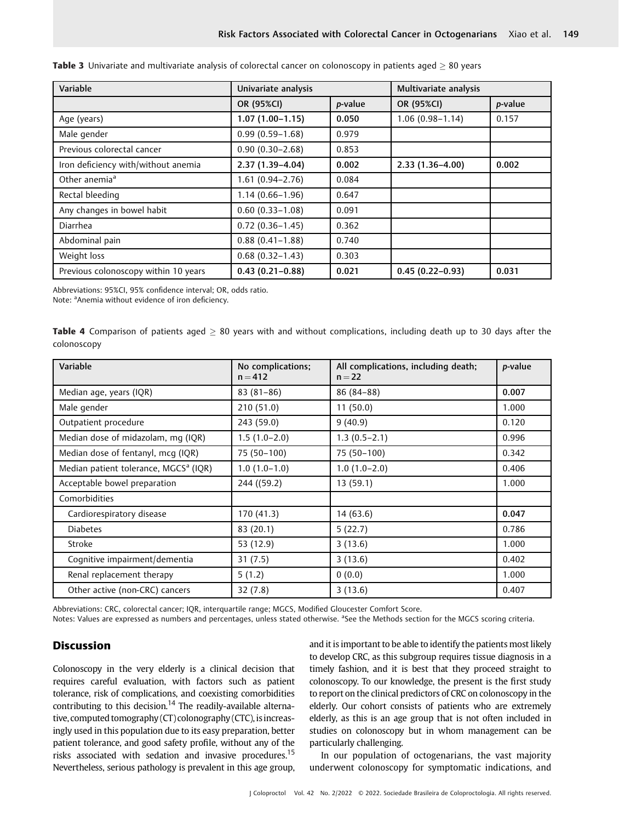| Variable                             | Univariate analysis |                 | Multivariate analysis |                 |
|--------------------------------------|---------------------|-----------------|-----------------------|-----------------|
|                                      | OR (95%CI)          | <i>p</i> -value | OR (95%CI)            | <i>p</i> -value |
| Age (years)                          | $1.07(1.00-1.15)$   | 0.050           | $1.06(0.98 - 1.14)$   | 0.157           |
| Male gender                          | $0.99(0.59 - 1.68)$ | 0.979           |                       |                 |
| Previous colorectal cancer           | $0.90(0.30 - 2.68)$ | 0.853           |                       |                 |
| Iron deficiency with/without anemia  | 2.37 (1.39-4.04)    | 0.002           | $2.33(1.36-4.00)$     | 0.002           |
| Other anemia <sup>a</sup>            | $1.61(0.94 - 2.76)$ | 0.084           |                       |                 |
| Rectal bleeding                      | $1.14(0.66 - 1.96)$ | 0.647           |                       |                 |
| Any changes in bowel habit           | $0.60(0.33 - 1.08)$ | 0.091           |                       |                 |
| Diarrhea                             | $0.72(0.36 - 1.45)$ | 0.362           |                       |                 |
| Abdominal pain                       | $0.88(0.41 - 1.88)$ | 0.740           |                       |                 |
| Weight loss                          | $0.68(0.32 - 1.43)$ | 0.303           |                       |                 |
| Previous colonoscopy within 10 years | $0.43(0.21 - 0.88)$ | 0.021           | $0.45(0.22 - 0.93)$   | 0.031           |

| Table 3 Univariate and multivariate analysis of colorectal cancer on colonoscopy in patients aged $\geq 80$ years |  |  |  |  |
|-------------------------------------------------------------------------------------------------------------------|--|--|--|--|
|-------------------------------------------------------------------------------------------------------------------|--|--|--|--|

Abbreviations: 95%CI, 95% confidence interval; OR, odds ratio.

Note: <sup>a</sup>Anemia without evidence of iron deficiency.

Table 4 Comparison of patients aged  $> 80$  years with and without complications, including death up to 30 days after the colonoscopy

| Variable                                          | No complications;<br>$n = 412$ | All complications, including death;<br>$n = 22$ | p-value |
|---------------------------------------------------|--------------------------------|-------------------------------------------------|---------|
| Median age, years (IQR)                           | $83(81-86)$                    | 86 (84-88)                                      | 0.007   |
| Male gender                                       | 210(51.0)                      | 11(50.0)                                        | 1.000   |
| Outpatient procedure                              | 243 (59.0)                     | 9(40.9)                                         | 0.120   |
| Median dose of midazolam, mg (IQR)                | $1.5(1.0-2.0)$                 | $1.3(0.5-2.1)$                                  | 0.996   |
| Median dose of fentanyl, mcq (IQR)                | 75 (50-100)                    | 75 (50-100)                                     | 0.342   |
| Median patient tolerance, MGCS <sup>a</sup> (IQR) | $1.0(1.0-1.0)$                 | $1.0(1.0-2.0)$                                  | 0.406   |
| Acceptable bowel preparation                      | 244 ((59.2)                    | 13 (59.1)                                       | 1.000   |
| Comorbidities                                     |                                |                                                 |         |
| Cardiorespiratory disease                         | 170 (41.3)                     | 14(63.6)                                        | 0.047   |
| <b>Diabetes</b>                                   | 83 (20.1)                      | 5(22.7)                                         | 0.786   |
| Stroke                                            | 53 (12.9)                      | 3(13.6)                                         | 1.000   |
| Cognitive impairment/dementia                     | 31(7.5)                        | 3(13.6)                                         | 0.402   |
| Renal replacement therapy                         | 5(1.2)                         | 0(0.0)                                          | 1.000   |
| Other active (non-CRC) cancers                    | 32(7.8)                        | 3(13.6)                                         | 0.407   |

Abbreviations: CRC, colorectal cancer; IQR, interquartile range; MGCS, Modified Gloucester Comfort Score.

Notes: Values are expressed as numbers and percentages, unless stated otherwise. <sup>a</sup>See the Methods section for the MGCS scoring criteria.

# **Discussion**

Colonoscopy in the very elderly is a clinical decision that requires careful evaluation, with factors such as patient tolerance, risk of complications, and coexisting comorbidities contributing to this decision.<sup>14</sup> The readily-available alternative, computed tomography  $(CT)$  colonography  $(CTC)$ , is increasingly used in this population due to its easy preparation, better patient tolerance, and good safety profile, without any of the risks associated with sedation and invasive procedures.<sup>15</sup> Nevertheless, serious pathology is prevalent in this age group, and it is important to be able to identify the patients most likely to develop CRC, as this subgroup requires tissue diagnosis in a timely fashion, and it is best that they proceed straight to colonoscopy. To our knowledge, the present is the first study to report on the clinical predictors of CRC on colonoscopy in the elderly. Our cohort consists of patients who are extremely elderly, as this is an age group that is not often included in studies on colonoscopy but in whom management can be particularly challenging.

In our population of octogenarians, the vast majority underwent colonoscopy for symptomatic indications, and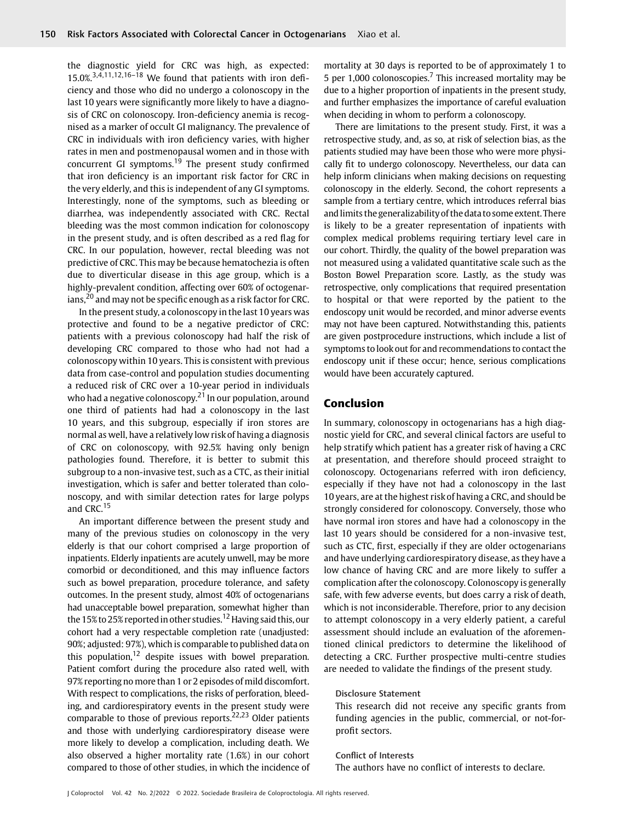the diagnostic yield for CRC was high, as expected:  $15.0\%^{3,\overline{4},11,12,16-18}$  We found that patients with iron deficiency and those who did no undergo a colonoscopy in the last 10 years were significantly more likely to have a diagnosis of CRC on colonoscopy. Iron-deficiency anemia is recognised as a marker of occult GI malignancy. The prevalence of CRC in individuals with iron deficiency varies, with higher rates in men and postmenopausal women and in those with concurrent GI symptoms.<sup>19</sup> The present study confirmed that iron deficiency is an important risk factor for CRC in the very elderly, and this is independent of any GI symptoms. Interestingly, none of the symptoms, such as bleeding or diarrhea, was independently associated with CRC. Rectal bleeding was the most common indication for colonoscopy in the present study, and is often described as a red flag for CRC. In our population, however, rectal bleeding was not predictive of CRC. This may be because hematochezia is often due to diverticular disease in this age group, which is a highly-prevalent condition, affecting over 60% of octogenarians, $^{20}$  and may not be specific enough as a risk factor for CRC.

In the present study, a colonoscopy in the last 10 years was protective and found to be a negative predictor of CRC: patients with a previous colonoscopy had half the risk of developing CRC compared to those who had not had a colonoscopy within 10 years. This is consistent with previous data from case-control and population studies documenting a reduced risk of CRC over a 10-year period in individuals who had a negative colonoscopy. $21$  In our population, around one third of patients had had a colonoscopy in the last 10 years, and this subgroup, especially if iron stores are normal as well, have a relatively low risk of having a diagnosis of CRC on colonoscopy, with 92.5% having only benign pathologies found. Therefore, it is better to submit this subgroup to a non-invasive test, such as a CTC, as their initial investigation, which is safer and better tolerated than colonoscopy, and with similar detection rates for large polyps and CRC.<sup>15</sup>

An important difference between the present study and many of the previous studies on colonoscopy in the very elderly is that our cohort comprised a large proportion of inpatients. Elderly inpatients are acutely unwell, may be more comorbid or deconditioned, and this may influence factors such as bowel preparation, procedure tolerance, and safety outcomes. In the present study, almost 40% of octogenarians had unacceptable bowel preparation, somewhat higher than the 15% to 25% reported in other studies.<sup>12</sup> Having said this, our cohort had a very respectable completion rate (unadjusted: 90%; adjusted: 97%), which is comparable to published data on this population, $12$  despite issues with bowel preparation. Patient comfort during the procedure also rated well, with 97% reporting no more than 1 or 2 episodes of mild discomfort. With respect to complications, the risks of perforation, bleeding, and cardiorespiratory events in the present study were comparable to those of previous reports.<sup>22,23</sup> Older patients and those with underlying cardiorespiratory disease were more likely to develop a complication, including death. We also observed a higher mortality rate (1.6%) in our cohort compared to those of other studies, in which the incidence of mortality at 30 days is reported to be of approximately 1 to 5 per 1,000 colonoscopies.<sup>7</sup> This increased mortality may be due to a higher proportion of inpatients in the present study, and further emphasizes the importance of careful evaluation when deciding in whom to perform a colonoscopy.

There are limitations to the present study. First, it was a retrospective study, and, as so, at risk of selection bias, as the patients studied may have been those who were more physically fit to undergo colonoscopy. Nevertheless, our data can help inform clinicians when making decisions on requesting colonoscopy in the elderly. Second, the cohort represents a sample from a tertiary centre, which introduces referral bias and limits the generalizability of the data to some extent. There is likely to be a greater representation of inpatients with complex medical problems requiring tertiary level care in our cohort. Thirdly, the quality of the bowel preparation was not measured using a validated quantitative scale such as the Boston Bowel Preparation score. Lastly, as the study was retrospective, only complications that required presentation to hospital or that were reported by the patient to the endoscopy unit would be recorded, and minor adverse events may not have been captured. Notwithstanding this, patients are given postprocedure instructions, which include a list of symptoms to look out for and recommendations to contact the endoscopy unit if these occur; hence, serious complications would have been accurately captured.

# Conclusion

In summary, colonoscopy in octogenarians has a high diagnostic yield for CRC, and several clinical factors are useful to help stratify which patient has a greater risk of having a CRC at presentation, and therefore should proceed straight to colonoscopy. Octogenarians referred with iron deficiency, especially if they have not had a colonoscopy in the last 10 years, are at the highest risk of having a CRC, and should be strongly considered for colonoscopy. Conversely, those who have normal iron stores and have had a colonoscopy in the last 10 years should be considered for a non-invasive test, such as CTC, first, especially if they are older octogenarians and have underlying cardiorespiratory disease, as they have a low chance of having CRC and are more likely to suffer a complication after the colonoscopy. Colonoscopy is generally safe, with few adverse events, but does carry a risk of death, which is not inconsiderable. Therefore, prior to any decision to attempt colonoscopy in a very elderly patient, a careful assessment should include an evaluation of the aforementioned clinical predictors to determine the likelihood of detecting a CRC. Further prospective multi-centre studies are needed to validate the findings of the present study.

#### Disclosure Statement

This research did not receive any specific grants from funding agencies in the public, commercial, or not-forprofit sectors.

#### Conflict of Interests

The authors have no conflict of interests to declare.